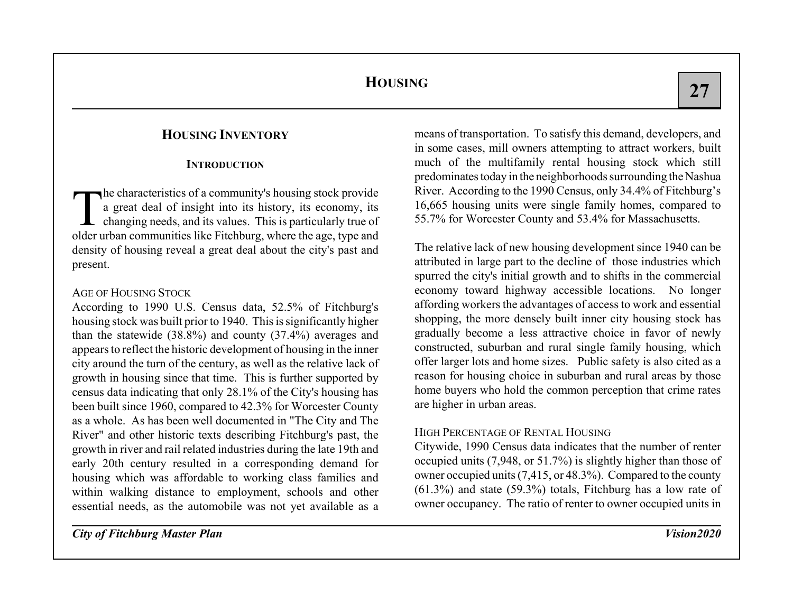## **HOUSING INVENTORY**

#### **INTRODUCTION**

The characteristics of a community's housing stock provide<br>a great deal of insight into its history, its economy, its<br>changing needs, and its values. This is particularly true of older urban communities like Fitchburg, where the age, type and density of housing reveal a great deal about the city's past and present.

#### AGE OF HOUSING STOCK

According to 1990 U.S. Census data, 52.5% of Fitchburg's housing stock was built prior to 1940. This is significantly higher than the statewide (38.8%) and county (37.4%) averages and appears to reflect the historic development of housing in the inner city around the turn of the century, as well as the relative lack of growth in housing since that time. This is further supported by census data indicating that only 28.1% of the City's housing has been built since 1960, compared to 42.3% for Worcester County as a whole. As has been well documented in "The City and The River" and other historic texts describing Fitchburg's past, the growth in river and rail related industries during the late 19th and early 20th century resulted in a corresponding demand for housing which was affordable to working class families and within walking distance to employment, schools and other essential needs, as the automobile was not yet available as a

means of transportation. To satisfy this demand, developers, and in some cases, mill owners attempting to attract workers, built much of the multifamily rental housing stock which still predominates today in the neighborhoods surrounding the Nashua River. According to the 1990 Census, only 34.4% of Fitchburg's 16,665 housing units were single family homes, compared to 55.7% for Worcester County and 53.4% for Massachusetts.

The relative lack of new housing development since 1940 can be attributed in large part to the decline of those industries which spurred the city's initial growth and to shifts in the commercial economy toward highway accessible locations. No longer affording workers the advantages of access to work and essential shopping, the more densely built inner city housing stock has gradually become a less attractive choice in favor of newly constructed, suburban and rural single family housing, which offer larger lots and home sizes. Public safety is also cited as a reason for housing choice in suburban and rural areas by those home buyers who hold the common perception that crime rates are higher in urban areas.

#### HIGH PERCENTAGE OF RENTAL HOUSING

Citywide, 1990 Census data indicates that the number of renter occupied units (7,948, or 51.7%) is slightly higher than those of owner occupied units (7,415, or 48.3%). Compared to the county (61.3%) and state (59.3%) totals, Fitchburg has a low rate of owner occupancy. The ratio of renter to owner occupied units in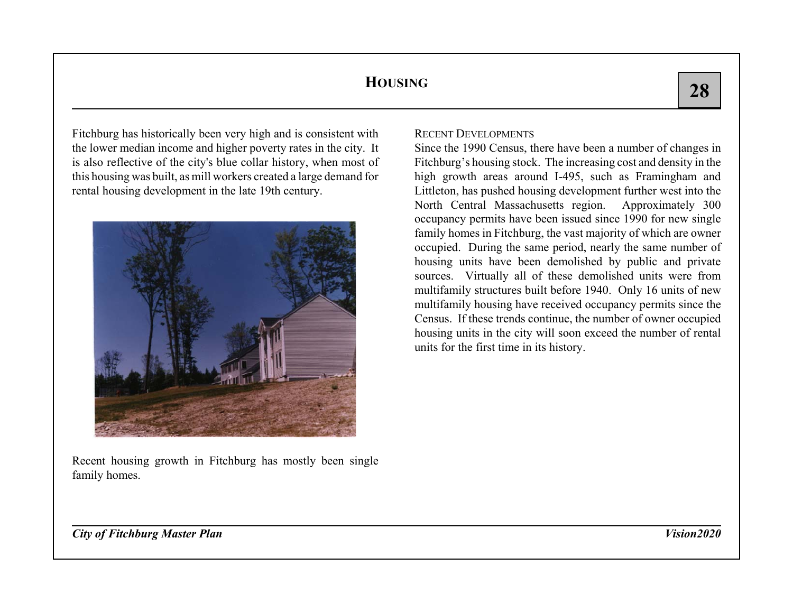Fitchburg has historically been very high and is consistent with the lower median income and higher poverty rates in the city. It is also reflective of the city's blue collar history, when most of this housing was built, as mill workers created a large demand for rental housing development in the late 19th century.



Recent housing growth in Fitchburg has mostly been single family homes.

### RECENT DEVELOPMENTS

Since the 1990 Census, there have been a number of changes in Fitchburg's housing stock. The increasing cost and density in the high growth areas around I-495, such as Framingham and Littleton, has pushed housing development further west into the North Central Massachusetts region. Approximately 300 occupancy permits have been issued since 1990 for new single family homes in Fitchburg, the vast majority of which are owner occupied. During the same period, nearly the same number of housing units have been demolished by public and private sources. Virtually all of these demolished units were from multifamily structures built before 1940. Only 16 units of new multifamily housing have received occupancy permits since the Census. If these trends continue, the number of owner occupied housing units in the city will soon exceed the number of rental units for the first time in its history.

*City of Fitchburg Master Plan Vision2020*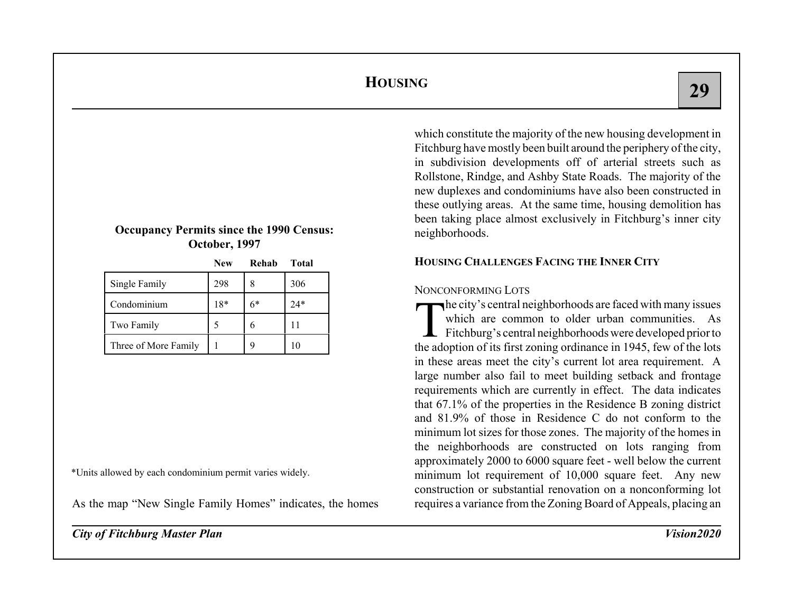#### **Occupancy Permits since the 1990 Census: October, 1997**

**New Rehab Total**

|                      | $N$ ew | кенар | I OL'AI |
|----------------------|--------|-------|---------|
| Single Family        | 298    |       | 306     |
| Condominium          | $18*$  | 6*    | 24*     |
| Two Family           |        |       |         |
| Three of More Family |        |       | 10      |

\*Units allowed by each condominium permit varies widely.

As the map "New Single Family Homes" indicates, the homes

*City of Fitchburg Master Plan Vision2020*

which constitute the majority of the new housing development in Fitchburg have mostly been built around the periphery of the city, in subdivision developments off of arterial streets such as Rollstone, Rindge, and Ashby State Roads. The majority of the new duplexes and condominiums have also been constructed in these outlying areas. At the same time, housing demolition has been taking place almost exclusively in Fitchburg's inner city neighborhoods.

## **HOUSING CHALLENGES FACING THE INNER CITY**

### NONCONFORMING LOTS

The city's central neighborhoods are faced with many issues which are common to older urban communities. As Fitchburg's central neighborhoods were developed prior to the adoption of its first zoning ordinance in 1945, few of the lots in these areas meet the city's current lot area requirement. A large number also fail to meet building setback and frontage requirements which are currently in effect. The data indicates that 67.1% of the properties in the Residence B zoning district and 81.9% of those in Residence C do not conform to theminimum lot sizes for those zones. The majority of the homes in the neighborhoods are constructed on lots ranging from approximately 2000 to 6000 square feet - well below the current minimum lot requirement of 10,000 square feet. Any new construction or substantial renovation on a nonconforming lot requires a variance from the Zoning Board of Appeals, placing an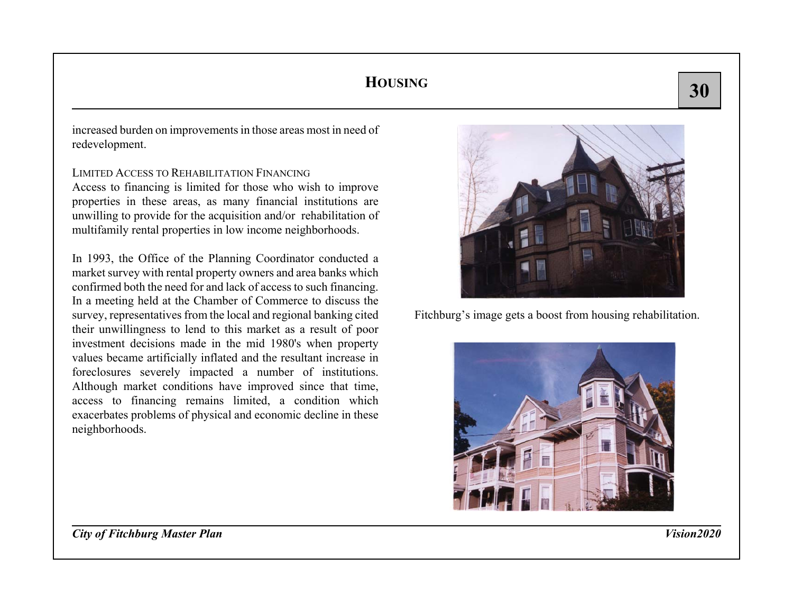increased burden on improvements in those areas most in need of redevelopment.

LIMITED ACCESS TO REHABILITATION FINANCINGAccess to financing is limited for those who wish to improve properties in these areas, as many financial institutions are unwilling to provide for the acquisition and/or rehabilitation of multifamily rental properties in low income neighborhoods.

In 1993, the Office of the Planning Coordinator conducted a market survey with rental property owners and area banks which confirmed both the need for and lack of access to such financing. In a meeting held at the Chamber of Commerce to discuss the survey, representatives from the local and regional banking cited their unwillingness to lend to this market as a result of poor investment decisions made in the mid 1980's when property values became artificially inflated and the resultant increase in foreclosures severely impacted a number of institutions. Although market conditions have improved since that time, access to financing remains limited, a condition which exacerbates problems of physical and economic decline in these neighborhoods.



Fitchburg's image gets a boost from housing rehabilitation.



*City of Fitchburg Master Plan Vision2020*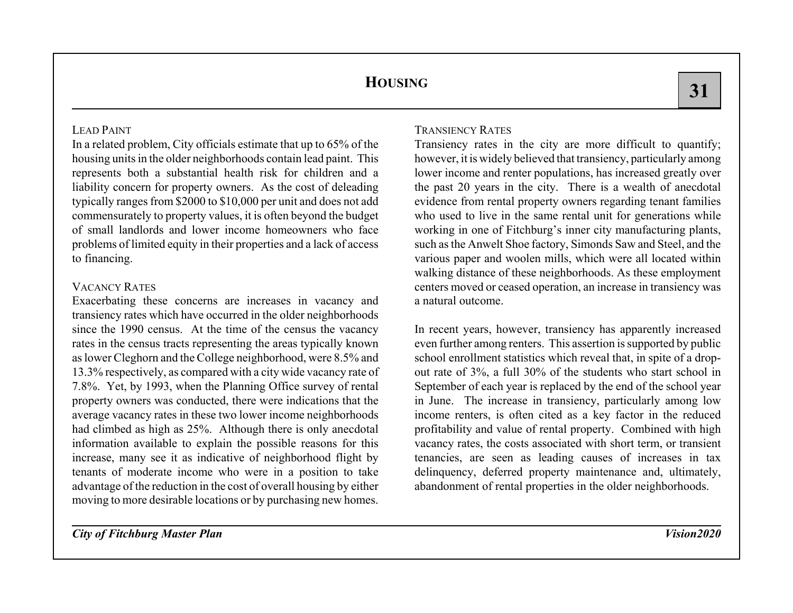## LEAD PAINT

In a related problem, City officials estimate that up to 65% of the housing units in the older neighborhoods contain lead paint. This represents both a substantial health risk for children and a liability concern for property owners. As the cost of deleading typically ranges from \$2000 to \$10,000 per unit and does not add commensurately to property values, it is often beyond the budget of small landlords and lower income homeowners who faceproblems of limited equity in their properties and a lack of access to financing.

### VACANCY RATES

Exacerbating these concerns are increases in vacancy and transiency rates which have occurred in the older neighborhoods since the 1990 census. At the time of the census the vacancy rates in the census tracts representing the areas typically known as lower Cleghorn and the College neighborhood, were 8.5% and 13.3% respectively, as compared with a city wide vacancy rate of 7.8%. Yet, by 1993, when the Planning Office survey of rental property owners was conducted, there were indications that the average vacancy rates in these two lower income neighborhoods had climbed as high as  $25\%$ . Although there is only anecdotal information available to explain the possible reasons for this increase, many see it as indicative of neighborhood flight by tenants of moderate income who were in a position to take advantage of the reduction in the cost of overall housing by either moving to more desirable locations or by purchasing new homes.

## TRANSIENCY RATES

Transiency rates in the city are more difficult to quantify; however, it is widely believed that transiency, particularly among lower income and renter populations, has increased greatly over the past 20 years in the city. There is a wealth of anecdotal evidence from rental property owners regarding tenant families who used to live in the same rental unit for generations while working in one of Fitchburg's inner city manufacturing plants, such as the Anwelt Shoe factory, Simonds Saw and Steel, and the various paper and woolen mills, which were all located within walking distance of these neighborhoods. As these employment centers moved or ceased operation, an increase in transiency was a natural outcome.

In recent years, however, transiency has apparently increased even further among renters. This assertion is supported by public school enrollment statistics which reveal that, in spite of a dropout rate of 3%, a full 30% of the students who start school in September of each year is replaced by the end of the school year in June. The increase in transiency, particularly among low income renters, is often cited as a key factor in the reduced profitability and value of rental property. Combined with high vacancy rates, the costs associated with short term, or transient tenancies, are seen as leading causes of increases in tax delinquency, deferred property maintenance and, ultimately, abandonment of rental properties in the older neighborhoods.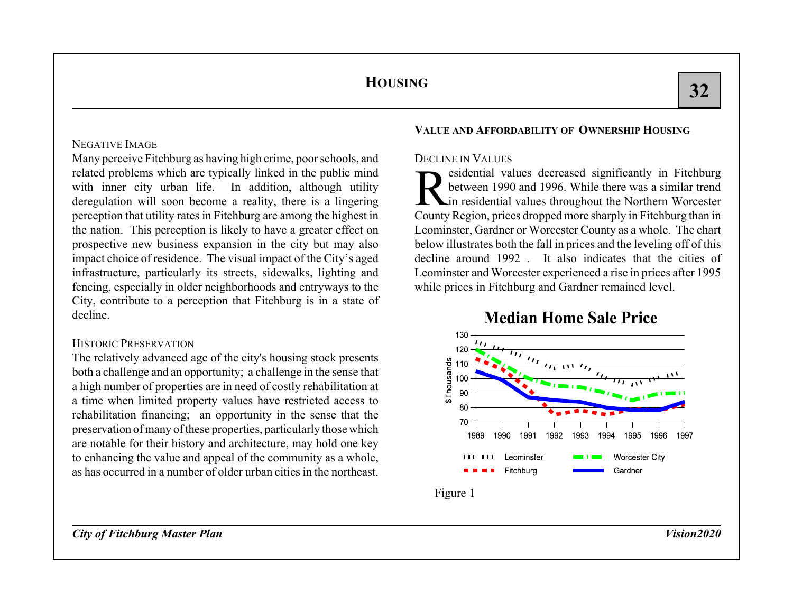### NEGATIVE IMAGE

Many perceive Fitchburg as having high crime, poor schools, and related problems which are typically linked in the public mind with inner city urban life. In addition, although utility deregulation will soon become a reality, there is a lingering perception that utility rates in Fitchburg are among the highest in the nation. This perception is likely to have a greater effect on prospective new business expansion in the city but may also impact choice of residence. The visual impact of the City's aged infrastructure, particularly its streets, sidewalks, lighting and fencing, especially in older neighborhoods and entryways to the City, contribute to a perception that Fitchburg is in a state of decline.

#### HISTORIC PRESERVATION

The relatively advanced age of the city's housing stock presents both a challenge and an opportunity; a challenge in the sense that a high number of properties are in need of costly rehabilitation at a time when limited property values have restricted access to rehabilitation financing; an opportunity in the sense that the preservation of many of these properties, particularly those which are notable for their history and architecture, may hold one key to enhancing the value and appeal of the community as a whole, as has occurred in a number of older urban cities in the northeast.

### **VALUE AND AFFORDABILITY OF OWNERSHIP HOUSING**

#### DECLINE IN VALUES

esidential values decreased significantly in Fitchburg between 1990 and 1996. While there was a similar trend in residential values throughout the Northern Worcester County Region, prices dropped more sharply in Fitchburg than in Leominster, Gardner or Worcester County as a whole. The chart below illustrates both the fall in prices and the leveling off of this decline around 1992 . It also indicates that the cities of Leominster and Worcester experienced a rise in prices after 1995 while prices in Fitchburg and Gardner remained level.



# **Median Home Sale Price**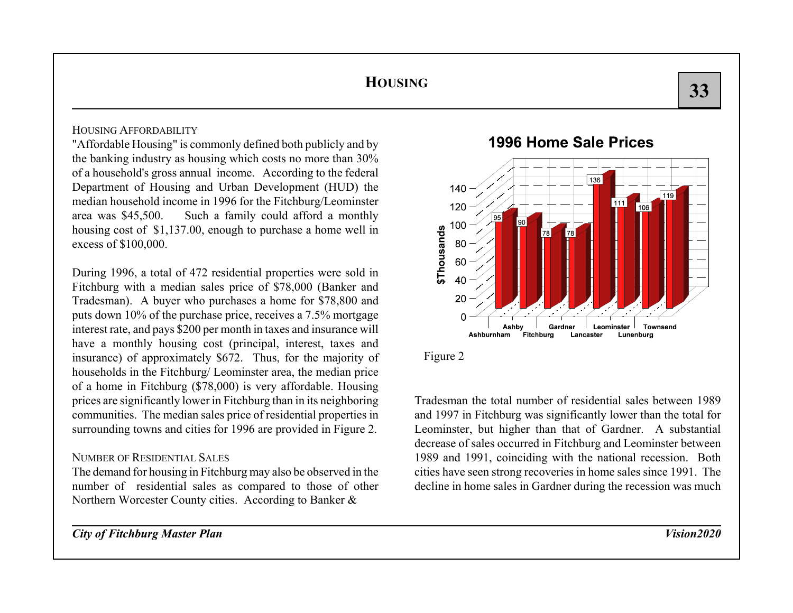### HOUSING AFFORDABILITY

"Affordable Housing" is commonly defined both publicly and by the banking industry as housing which costs no more than 30% of a household's gross annual income. According to the federal Department of Housing and Urban Development (HUD) the median household income in 1996 for the Fitchburg/Leominster area was \$45,500. Such a family could afford a monthly housing cost of \$1,137.00, enough to purchase a home well in excess of \$100,000.

During 1996, a total of 472 residential properties were sold in Fitchburg with a median sales price of \$78,000 (Banker and Tradesman). A buyer who purchases a home for \$78,800 and puts down 10% of the purchase price, receives a 7.5% mortgage interest rate, and pays \$200 per month in taxes and insurance will have a monthly housing cost (principal, interest, taxes and insurance) of approximately \$672. Thus, for the majority of households in the Fitchburg/ Leominster area, the median price of a home in Fitchburg (\$78,000) is very affordable. Housing prices are significantly lower in Fitchburg than in its neighboring communities. The median sales price of residential properties in surrounding towns and cities for 1996 are provided in Figure 2.

#### NUMBER OF RESIDENTIAL SALES

The demand for housing in Fitchburg may also be observed in the number of residential sales as compared to those of other Northern Worcester County cities. According to Banker &

*City of Fitchburg Master Plan Vision2020*

## 1996 Home Sale Prices





Tradesman the total number of residential sales between 1989and 1997 in Fitchburg was significantly lower than the total for Leominster, but higher than that of Gardner. A substantial decrease of sales occurred in Fitchburg and Leominster between 1989 and 1991, coinciding with the national recession. Both cities have seen strong recoveries in home sales since 1991. The decline in home sales in Gardner during the recession was much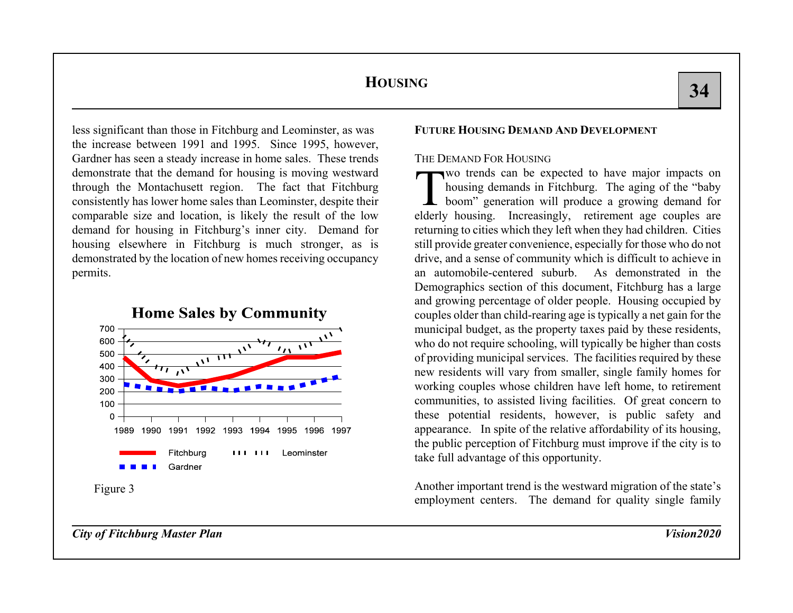less significant than those in Fitchburg and Leominster, as was the increase between 1991 and 1995. Since 1995, however, Gardner has seen a steady increase in home sales. These trends demonstrate that the demand for housing is moving westward through the Montachusett region. The fact that Fitchburg consistently has lower home sales than Leominster, despite their comparable size and location, is likely the result of the low demand for housing in Fitchburg's inner city. Demand for housing elsewhere in Fitchburg is much stronger, as is demonstrated by the location of new homes receiving occupancy permits.



### **FUTURE HOUSING DEMAND AND DEVELOPMENT**

### THE DEMAND FOR HOUSING

Two trends can be expected to have major impacts on housing demands in Fitchburg. The aging of the "baby boom" generation will produce a growing demand for elderly housing. Increasingly, retirement age couples are returning to cities which they left when they had children. Cities still provide greater convenience, especially for those who do not drive, and a sense of community which is difficult to achieve in an automobile-centered suburb. As demonstrated in theDemographics section of this document, Fitchburg has a large and growing percentage of older people. Housing occupied by couples older than child-rearing age is typically a net gain for the municipal budget, as the property taxes paid by these residents, who do not require schooling, will typically be higher than costs of providing municipal services. The facilities required by these new residents will vary from smaller, single family homes for working couples whose children have left home, to retirement communities, to assisted living facilities. Of great concern to these potential residents, however, is public safety and appearance. In spite of the relative affordability of its housing, the public perception of Fitchburg must improve if the city is to take full advantage of this opportunity.

Another important trend is the westward migration of the state's employment centers. The demand for quality single family

*City of Fitchburg Master Plan Vision2020*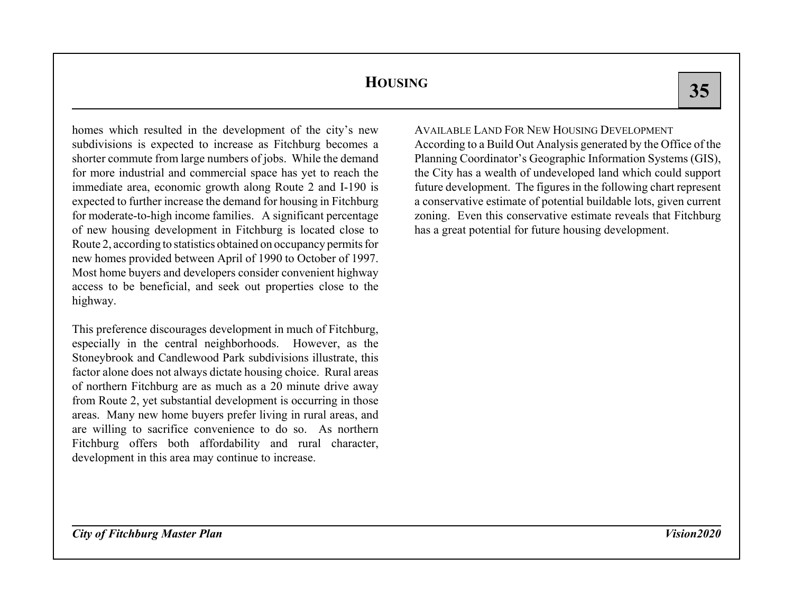**35**35

homes which resulted in the development of the city's new subdivisions is expected to increase as Fitchburg becomes a shorter commute from large numbers of jobs. While the demand for more industrial and commercial space has yet to reach the immediate area, economic growth along Route 2 and I-190 is expected to further increase the demand for housing in Fitchburg for moderate-to-high income families. A significant percentage of new housing development in Fitchburg is located close to Route 2, according to statistics obtained on occupancy permits for new homes provided between April of 1990 to October of 1997. Most home buyers and developers consider convenient highway access to be beneficial, and seek out properties close to the highway.

This preference discourages development in much of Fitchburg, especially in the central neighborhoods. However, as the Stoneybrook and Candlewood Park subdivisions illustrate, this factor alone does not always dictate housing choice. Rural areas of northern Fitchburg are as much as a 20 minute drive away from Route 2, yet substantial development is occurring in those areas. Many new home buyers prefer living in rural areas, and are willing to sacrifice convenience to do so. As northern Fitchburg offers both affordability and rural character, development in this area may continue to increase.

## AVAILABLE LAND FOR NEW HOUSING DEVELOPMENT

According to a Build Out Analysis generated by the Office of the Planning Coordinator's Geographic Information Systems (GIS), the City has a wealth of undeveloped land which could support future development. The figures in the following chart represent a conservative estimate of potential buildable lots, given current zoning. Even this conservative estimate reveals that Fitchburg has a great potential for future housing development.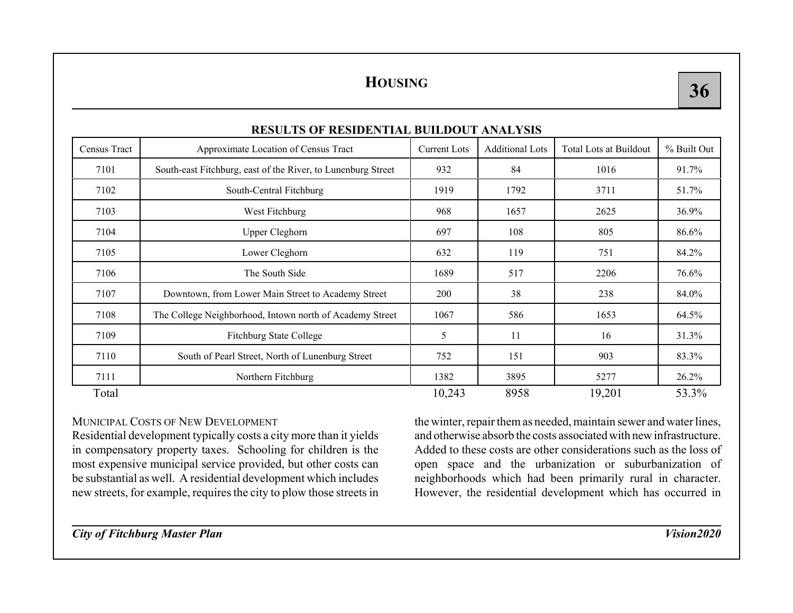|              | RESULTS OF RESIDENTIAL BUILDOUT ANALYSIS                     |                     |                        |                        |             |
|--------------|--------------------------------------------------------------|---------------------|------------------------|------------------------|-------------|
| Census Tract | Approximate Location of Census Tract                         | <b>Current Lots</b> | <b>Additional Lots</b> | Total Lots at Buildout | % Built Out |
| 7101         | South-east Fitchburg, east of the River, to Lunenburg Street | 932                 | 84                     | 1016                   | 91.7%       |
| 7102         | South-Central Fitchburg                                      | 1919                | 1792                   | 3711                   | 51.7%       |
| 7103         | West Fitchburg                                               | 968                 | 1657                   | 2625                   | $36.9\%$    |
| 7104         | <b>Upper Cleghorn</b>                                        | 697                 | 108                    | 805                    | 86.6%       |
| 7105         | Lower Cleghorn                                               | 632                 | 119                    | 751                    | 84.2%       |
| 7106         | The South Side                                               | 1689                | 517                    | 2206                   | 76.6%       |
| 7107         | Downtown, from Lower Main Street to Academy Street           | 200                 | 38                     | 238                    | 84.0%       |
| 7108         | The College Neighborhood, Intown north of Academy Street     | 1067                | 586                    | 1653                   | 64.5%       |
| 7109         | <b>Fitchburg State College</b>                               | 5                   | 11                     | 16                     | 31.3%       |
| 7110         | South of Pearl Street, North of Lunenburg Street             | 752                 | 151                    | 903                    | 83.3%       |
| 7111         | Northern Fitchburg                                           | 1382                | 3895                   | 5277                   | 26.2%       |
| Total        |                                                              | 10,243              | 8958                   | 19,201                 | 53.3%       |

## **RESULTS OF RESIDENTIAL BUILDOUT ANALYSIS**

## MUNICIPAL COSTS OF NEW DEVELOPMENT

Residential development typically costs a city more than it yields in compensatory property taxes. Schooling for children is the most expensive municipal service provided, but other costs can be substantial as well. A residential development which includes new streets, for example, requires the city to plow those streets in

the winter, repair them as needed, maintain sewer and water lines, and otherwise absorb the costs associated with new infrastructure.Added to these costs are other considerations such as the loss of open space and the urbanization or suburbanization of neighborhoods which had been primarily rural in character. However, the residential development which has occurred in

*City of Fitchburg Master Plan Vision2020*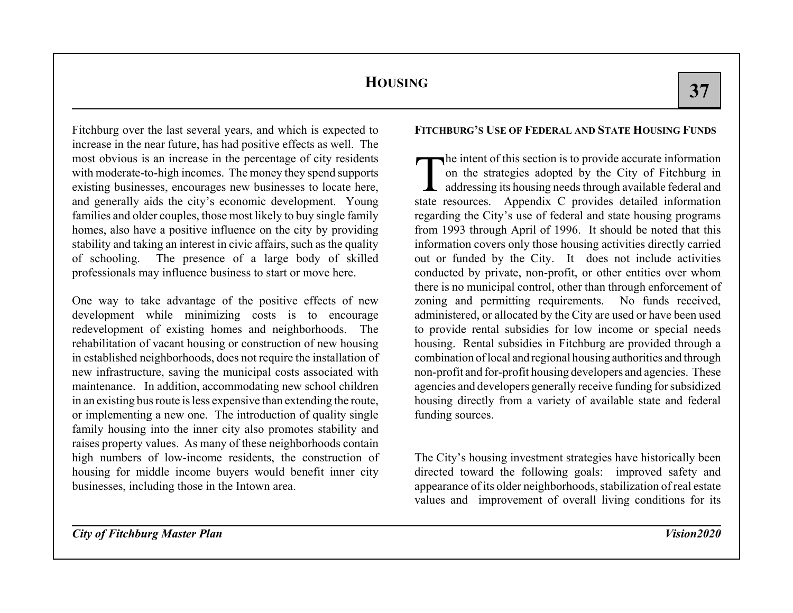Fitchburg over the last several years, and which is expected to increase in the near future, has had positive effects as well. The most obvious is an increase in the percentage of city residents with moderate-to-high incomes. The money they spend supports existing businesses, encourages new businesses to locate here, and generally aids the city's economic development. Young families and older couples, those most likely to buy single family homes, also have a positive influence on the city by providing stability and taking an interest in civic affairs, such as the quality of schooling. The presence of a large body of skilled professionals may influence business to start or move here.

One way to take advantage of the positive effects of new development while minimizing costs is to encourage redevelopment of existing homes and neighborhoods. The rehabilitation of vacant housing or construction of new housing in established neighborhoods, does not require the installation of new infrastructure, saving the municipal costs associated with maintenance. In addition, accommodating new school children in an existing bus route is less expensive than extending the route, or implementing a new one. The introduction of quality single family housing into the inner city also promotes stability and raises property values. As many of these neighborhoods contain high numbers of low-income residents, the construction of housing for middle income buyers would benefit inner city businesses, including those in the Intown area.

## **FITCHBURG'S USE OF FEDERAL AND STATE HOUSING FUNDS**

The intent of this section is to provide accurate information on the strategies adopted by the City of Fitchburg in addressing its housing needs through available federal and state resources. Appendix C provides detailed information regarding the City's use of federal and state housing programs from 1993 through April of 1996. It should be noted that this information covers only those housing activities directly carried out or funded by the City. It does not include activities conducted by private, non-profit, or other entities over whom there is no municipal control, other than through enforcement of zoning and permitting requirements. No funds received, administered, or allocated by the City are used or have been used to provide rental subsidies for low income or special needs housing. Rental subsidies in Fitchburg are provided through a combination of local and regional housing authorities and through non-profit and for-profit housing developers and agencies. These agencies and developers generally receive funding for subsidized housing directly from a variety of available state and federal funding sources.

The City's housing investment strategies have historically been directed toward the following goals: improved safety and appearance of its older neighborhoods, stabilization of real estate values and improvement of overall living conditions for its

*City of Fitchburg Master Plan Vision2020*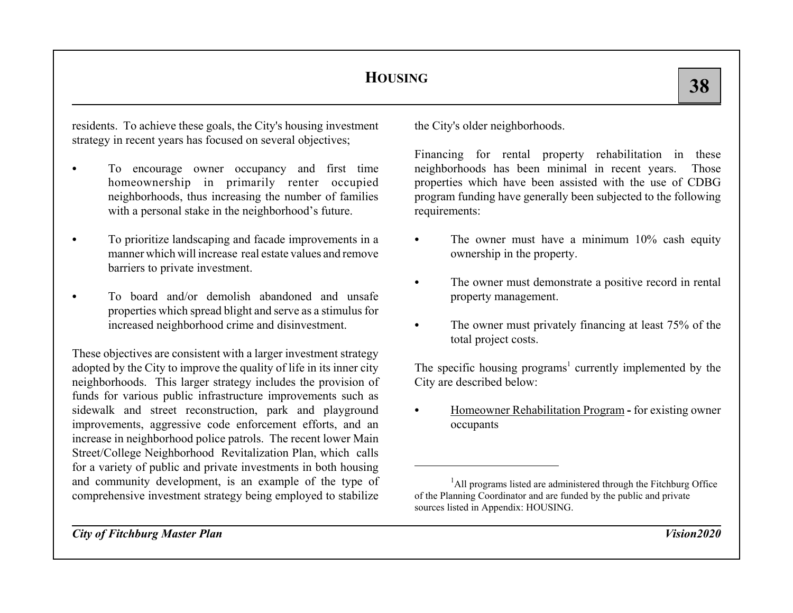residents. To achieve these goals, the City's housing investment strategy in recent years has focused on several objectives;

- C To encourage owner occupancy and first time homeownership in primarily renter occupied neighborhoods, thus increasing the number of families with a personal stake in the neighborhood's future.
- C To prioritize landscaping and facade improvements in a manner which will increase real estate values and removebarriers to private investment.
- To board and/or demolish abandoned and unsafeproperties which spread blight and serve as a stimulus for increased neighborhood crime and disinvestment.

These objectives are consistent with a larger investment strategy adopted by the City to improve the quality of life in its inner city neighborhoods. This larger strategy includes the provision of funds for various public infrastructure improvements such as sidewalk and street reconstruction, park and playground improvements, aggressive code enforcement efforts, and an increase in neighborhood police patrols. The recent lower Main Street/College Neighborhood Revitalization Plan, which calls for a variety of public and private investments in both housing and community development, is an example of the type of comprehensive investment strategy being employed to stabilize

the City's older neighborhoods.

Financing for rental property rehabilitation in these neighborhoods has been minimal in recent years. Those properties which have been assisted with the use of CDBG program funding have generally been subjected to the following requirements:

- $\bullet$  The owner must have a minimum 10% cash equity ownership in the property.
- $\bullet$  The owner must demonstrate a positive record in rental property management.
- $\bullet$  The owner must privately financing at least 75% of the total project costs.

The specific housing programs<sup>1</sup> currently implemented by the City are described below:

C Homeowner Rehabilitation Program **-** for existing owner occupants

<sup>1</sup>All programs listed are administered through the Fitchburg Office of the Planning Coordinator and are funded by the public and private sources listed in Appendix: HOUSING.

*City of Fitchburg Master Plan Vision2020*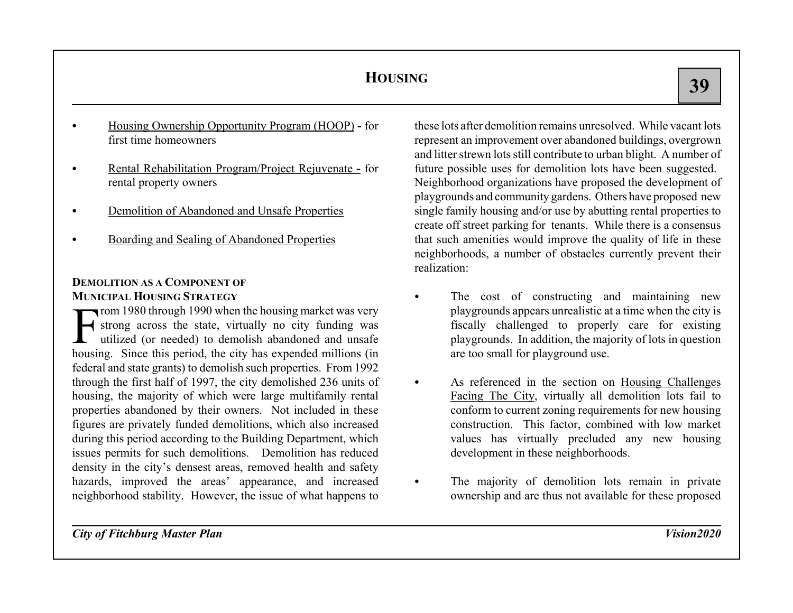- C Housing Ownership Opportunity Program (HOOP) **-** for first time homeowners
- $\bullet$  Rental Rehabilitation Program/Project Rejuvenate **-** for rental property owners
- CDemolition of Abandoned and Unsafe Properties
- CBoarding and Sealing of Abandoned Properties

## **DEMOLITION AS A COMPONENT OF MUNICIPAL HOUSING STRATEGY**

From 1980 through 1990 when the housing market was very<br>
For strong across the state, virtually no city funding was<br>
utilized (or needed) to demolish abandoned and unsafe housing. Since this period, the city has expended millions (in federal and state grants) to demolish such properties. From 1992 through the first half of 1997, the city demolished 236 units of housing, the majority of which were large multifamily rental properties abandoned by their owners. Not included in these figures are privately funded demolitions, which also increased during this period according to the Building Department, which issues permits for such demolitions. Demolition has reduced density in the city's densest areas, removed health and safety hazards, improved the areas' appearance, and increased neighborhood stability. However, the issue of what happens to

these lots after demolition remains unresolved. While vacant lotsrepresent an improvement over abandoned buildings, overgrown and litter strewn lots still contribute to urban blight. A number of future possible uses for demolition lots have been suggested. Neighborhood organizations have proposed the development of playgrounds and community gardens. Others have proposed new single family housing and/or use by abutting rental properties to create off street parking for tenants. While there is a consensus that such amenities would improve the quality of life in these neighborhoods, a number of obstacles currently prevent their realization:

- The cost of constructing and maintaining new playgrounds appears unrealistic at a time when the city is fiscally challenged to properly care for existing playgrounds. In addition, the majority of lots in question are too small for playground use.
- $\bullet$  As referenced in the section on Housing Challenges Facing The City, virtually all demolition lots fail to conform to current zoning requirements for new housing construction. This factor, combined with low market values has virtually precluded any new housing development in these neighborhoods.
- $\bullet$  The majority of demolition lots remain in private ownership and are thus not available for these proposed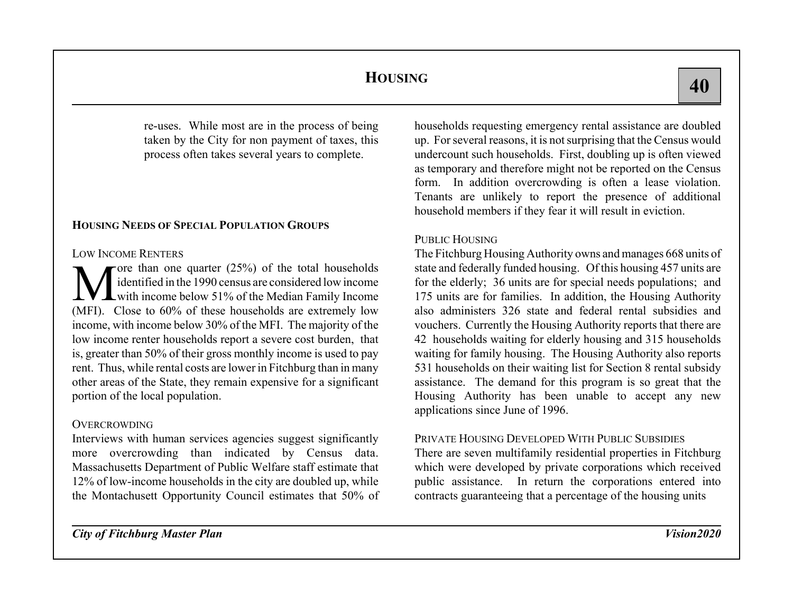re-uses. While most are in the process of being taken by the City for non payment of taxes, this process often takes several years to complete.

## **HOUSING NEEDS OF SPECIAL POPULATION GROUPS**

#### LOW INCOME RENTERS

The total households identified in the 1990 census are considered low income with income below 51% of the Median Family Income (MFI). Close to 60% of these households are extremely low income, with income below 30% of the MFI. The majority of the low income renter households report a severe cost burden, that is, greater than 50% of their gross monthly income is used to pay rent. Thus, while rental costs are lower in Fitchburg than in many other areas of the State, they remain expensive for a significant portion of the local population.

### **OVERCROWDING**

Interviews with human services agencies suggest significantly more overcrowding than indicated by Census data. Massachusetts Department of Public Welfare staff estimate that 12% of low-income households in the city are doubled up, while the Montachusett Opportunity Council estimates that 50% of households requesting emergency rental assistance are doubled up. For several reasons, it is not surprising that the Census would undercount such households. First, doubling up is often viewed as temporary and therefore might not be reported on the Census form. In addition overcrowding is often a lease violation. Tenants are unlikely to report the presence of additional household members if they fear it will result in eviction.

## PUBLIC HOUSING

The Fitchburg Housing Authority owns and manages 668 units of state and federally funded housing. Of this housing 457 units are for the elderly; 36 units are for special needs populations; and 175 units are for families. In addition, the Housing Authority also administers 326 state and federal rental subsidies andvouchers. Currently the Housing Authority reports that there are 42 households waiting for elderly housing and 315 households waiting for family housing. The Housing Authority also reports 531 households on their waiting list for Section 8 rental subsidy assistance. The demand for this program is so great that the Housing Authority has been unable to accept any new applications since June of 1996.

## PRIVATE HOUSING DEVELOPED WITH PUBLIC SUBSIDIES

There are seven multifamily residential properties in Fitchburg which were developed by private corporations which received public assistance. In return the corporations entered into contracts guaranteeing that a percentage of the housing units

*City of Fitchburg Master Plan Vision2020*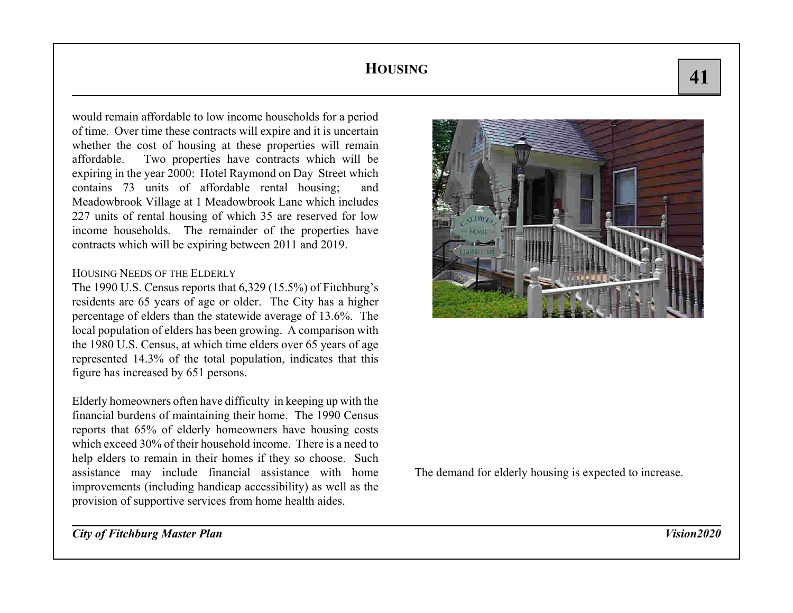would remain affordable to low income households for a period of time. Over time these contracts will expire and it is uncertain whether the cost of housing at these properties will remain affordable. Two properties have contracts which will be expiring in the year 2000: Hotel Raymond on Day Street which contains 73 units of affordable rental housing; and Meadowbrook Village at 1 Meadowbrook Lane which includes 227 units of rental housing of which 35 are reserved for low income households. The remainder of the properties have contracts which will be expiring between 2011 and 2019.

#### HOUSING NEEDS OF THE ELDERLY

The 1990 U.S. Census reports that 6,329 (15.5%) of Fitchburg's residents are 65 years of age or older. The City has a higher percentage of elders than the statewide average of 13.6%. The local population of elders has been growing. A comparison with the 1980 U.S. Census, at which time elders over 65 years of age represented 14.3% of the total population, indicates that this figure has increased by 651 persons.

Elderly homeowners often have difficulty in keeping up with the financial burdens of maintaining their home. The 1990 Census reports that 65% of elderly homeowners have housing costs which exceed 30% of their household income. There is a need tohelp elders to remain in their homes if they so choose. Such assistance may include financial assistance with home improvements (including handicap accessibility) as well as the provision of supportive services from home health aides.



The demand for elderly housing is expected to increase.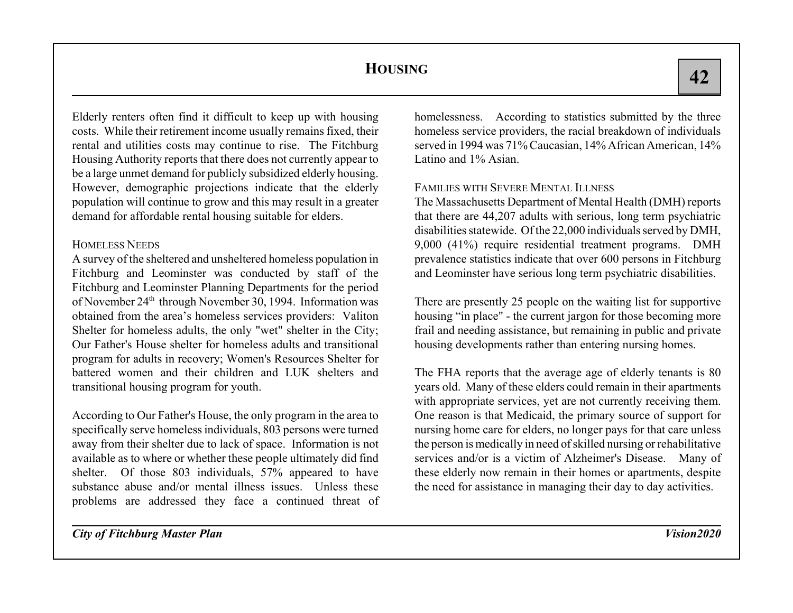Elderly renters often find it difficult to keep up with housing costs. While their retirement income usually remains fixed, their rental and utilities costs may continue to rise. The Fitchburg Housing Authority reports that there does not currently appear to be a large unmet demand for publicly subsidized elderly housing. However, demographic projections indicate that the elderly population will continue to grow and this may result in a greater demand for affordable rental housing suitable for elders.

## HOMELESS NEEDS

A survey of the sheltered and unsheltered homeless population in Fitchburg and Leominster was conducted by staff of the Fitchburg and Leominster Planning Departments for the period of November 24<sup>th</sup> through November 30, 1994. Information was obtained from the area's homeless services providers: Valiton Shelter for homeless adults, the only "wet" shelter in the City; Our Father's House shelter for homeless adults and transitionalprogram for adults in recovery; Women's Resources Shelter for battered women and their children and LUK shelters andtransitional housing program for youth.

According to Our Father's House, the only program in the area to specifically serve homeless individuals, 803 persons were turned away from their shelter due to lack of space. Information is not available as to where or whether these people ultimately did find shelter. Of those 803 individuals, 57% appeared to have substance abuse and/or mental illness issues. Unless theseproblems are addressed they face a continued threat of

homelessness. According to statistics submitted by the three homeless service providers, the racial breakdown of individuals served in 1994 was 71% Caucasian, 14% African American, 14% Latino and 1% Asian.

## FAMILIES WITH SEVERE MENTAL ILLNESS

The Massachusetts Department of Mental Health (DMH) reports that there are 44,207 adults with serious, long term psychiatric disabilities statewide. Of the 22,000 individuals served by DMH, 9,000 (41%) require residential treatment programs. DMH prevalence statistics indicate that over 600 persons in Fitchburg and Leominster have serious long term psychiatric disabilities.

There are presently 25 people on the waiting list for supportive housing "in place" - the current jargon for those becoming more frail and needing assistance, but remaining in public and private housing developments rather than entering nursing homes.

The FHA reports that the average age of elderly tenants is 80 years old. Many of these elders could remain in their apartments with appropriate services, yet are not currently receiving them. One reason is that Medicaid, the primary source of support for nursing home care for elders, no longer pays for that care unless the person is medically in need of skilled nursing or rehabilitative services and/or is a victim of Alzheimer's Disease. Many of these elderly now remain in their homes or apartments, despite the need for assistance in managing their day to day activities.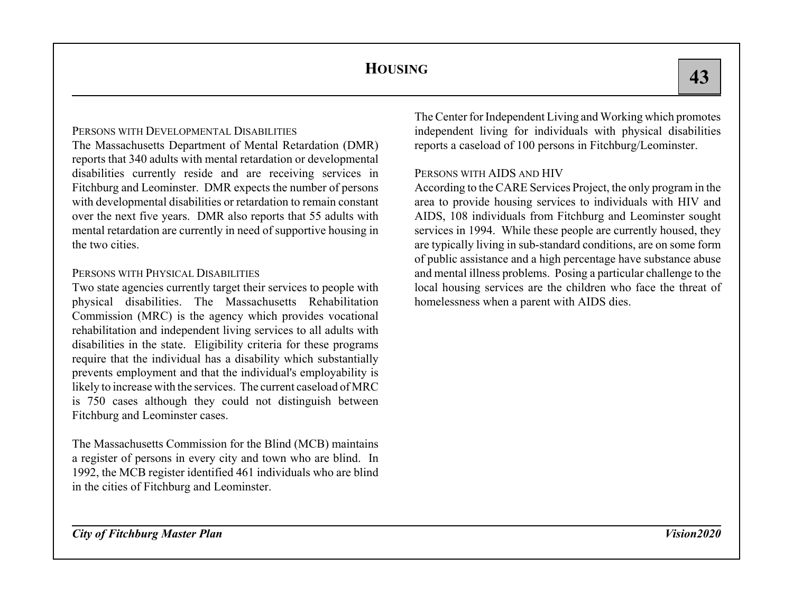### PERSONS WITH DEVELOPMENTAL DISABILITIES

The Massachusetts Department of Mental Retardation (DMR) reports that 340 adults with mental retardation or developmental disabilities currently reside and are receiving services in Fitchburg and Leominster. DMR expects the number of persons with developmental disabilities or retardation to remain constant over the next five years. DMR also reports that 55 adults with mental retardation are currently in need of supportive housing in the two cities.

#### PERSONS WITH PHYSICAL DISABILITIES

Two state agencies currently target their services to people with physical disabilities. The Massachusetts Rehabilitation Commission (MRC) is the agency which provides vocational rehabilitation and independent living services to all adults with disabilities in the state. Eligibility criteria for these programs require that the individual has a disability which substantially prevents employment and that the individual's employability is likely to increase with the services. The current caseload of MRC is 750 cases although they could not distinguish between Fitchburg and Leominster cases.

The Massachusetts Commission for the Blind (MCB) maintains a register of persons in every city and town who are blind. In 1992, the MCB register identified 461 individuals who are blind in the cities of Fitchburg and Leominster.

The Center for Independent Living and Working which promotes independent living for individuals with physical disabilities reports a caseload of 100 persons in Fitchburg/Leominster.

#### PERSONS WITH AIDS AND HIV

According to the CARE Services Project, the only program in the area to provide housing services to individuals with HIV and AIDS, 108 individuals from Fitchburg and Leominster sought services in 1994. While these people are currently housed, they are typically living in sub-standard conditions, are on some form of public assistance and a high percentage have substance abuse and mental illness problems. Posing a particular challenge to the local housing services are the children who face the threat of homelessness when a parent with AIDS dies.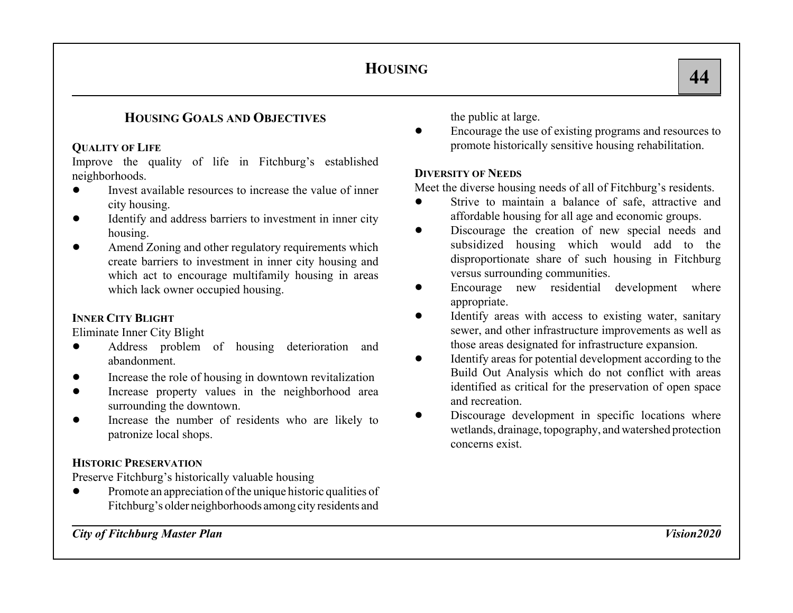## **HOUSING GOALS AND OBJECTIVES**

### **QUALITY OF LIFE**

Improve the quality of life in Fitchburg's established neighborhoods.

- $\bullet$  Invest available resources to increase the value of inner city housing.
- $\bullet$  Identify and address barriers to investment in inner city housing.
- $\bullet$  Amend Zoning and other regulatory requirements which create barriers to investment in inner city housing and which act to encourage multifamily housing in areas which lack owner occupied housing.

## **INNER CITY BLIGHT**

Eliminate Inner City Blight

- $\bullet$  Address problem of housing deterioration and abandonment.
- $\bullet$ Increase the role of housing in downtown revitalization
- $\bullet$  Increase property values in the neighborhood area surrounding the downtown.
- $\bullet$  Increase the number of residents who are likely to patronize local shops.

## **HISTORIC PRESERVATION**

Preserve Fitchburg's historically valuable housing

 $\bullet$  Promote an appreciation of the unique historic qualities of Fitchburg's older neighborhoods among city residents and

the public at large.

 $\bullet$  Encourage the use of existing programs and resources to promote historically sensitive housing rehabilitation.

### **DIVERSITY OF NEEDS**

Meet the diverse housing needs of all of Fitchburg's residents.

- $\bullet$  Strive to maintain a balance of safe, attractive and affordable housing for all age and economic groups.
- $\bullet$  Discourage the creation of new special needs and subsidized housing which would add to the disproportionate share of such housing in Fitchburg versus surrounding communities.
- $\bullet$  Encourage new residential development where appropriate.
- $\bullet$  Identify areas with access to existing water, sanitary sewer, and other infrastructure improvements as well as those areas designated for infrastructure expansion.
- $\bullet$  Identify areas for potential development according to the Build Out Analysis which do not conflict with areas identified as critical for the preservation of open space and recreation.
- $\bullet$  Discourage development in specific locations where wetlands, drainage, topography, and watershed protection concerns exist.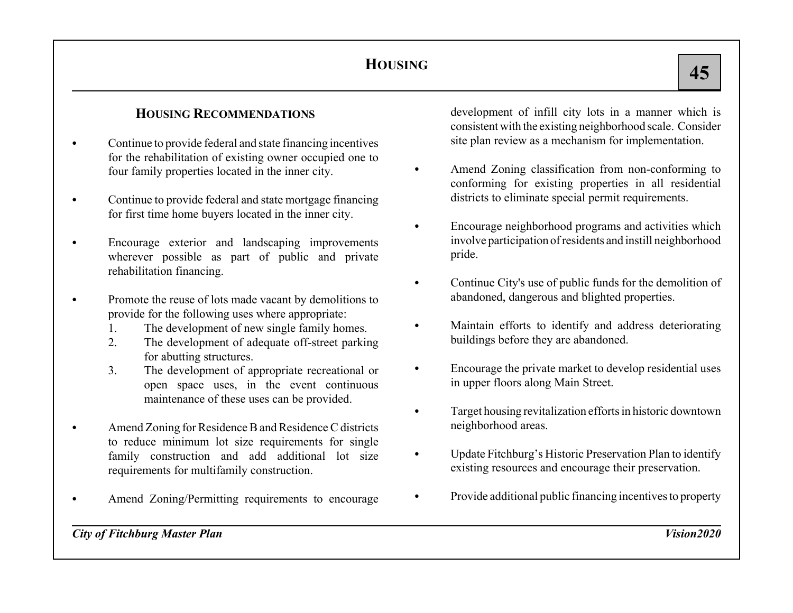## **HOUSING RECOMMENDATIONS**

- $\bullet$  Continue to provide federal and state financing incentives for the rehabilitation of existing owner occupied one to four family properties located in the inner city.
- $\bullet$  Continue to provide federal and state mortgage financing for first time home buyers located in the inner city.
- $\bullet$  Encourage exterior and landscaping improvements wherever possible as part of public and private rehabilitation financing.
- $\bullet$  Promote the reuse of lots made vacant by demolitions to provide for the following uses where appropriate:
	- 1. The development of new single family homes.
	- 2. The development of adequate off-street parking for abutting structures.
	- 3. The development of appropriate recreational or open space uses, in the event continuous maintenance of these uses can be provided.
- C Amend Zoning for Residence B and Residence C districts to reduce minimum lot size requirements for single family construction and add additional lot size requirements for multifamily construction.
- $\bullet$ Amend Zoning/Permitting requirements to encourage

development of infill city lots in a manner which is consistent with the existing neighborhood scale. Consider site plan review as a mechanism for implementation.

- $\bullet$  Amend Zoning classification from non-conforming to conforming for existing properties in all residential districts to eliminate special permit requirements.
- $\bullet$  Encourage neighborhood programs and activities which involve participation of residents and instill neighborhood pride.
- $\bullet$  Continue City's use of public funds for the demolition of abandoned, dangerous and blighted properties.
- $\bullet$  Maintain efforts to identify and address deteriorating buildings before they are abandoned.
- $\bullet$  Encourage the private market to develop residential uses in upper floors along Main Street.
- $\bullet$  Target housing revitalization efforts in historic downtown neighborhood areas.
- $\bullet$  Update Fitchburg's Historic Preservation Plan to identify existing resources and encourage their preservation.
- CProvide additional public financing incentives to property

*City of Fitchburg Master Plan Vision2020*